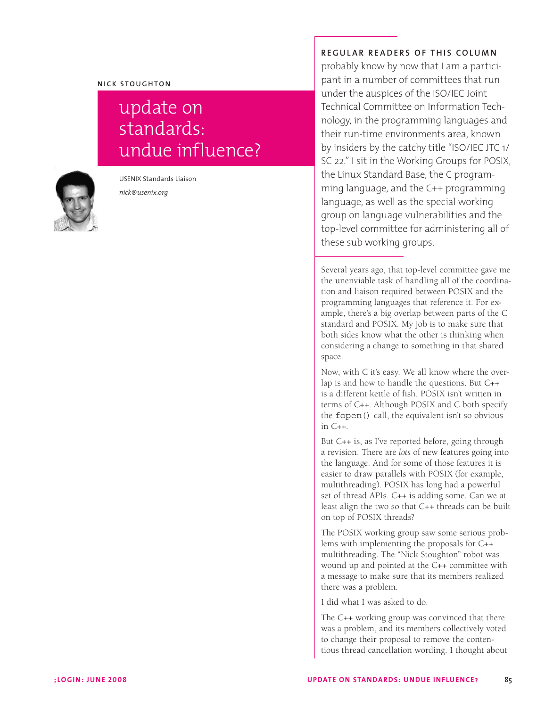## **NICK STOUGHTON**

## update on standards: undue influence?



USENIX Standards Liaison *nick@usenix.org*

## **REGULAR READERS OF THIS COLUMN**

probably know by now that I am a participant in a number of committees that run under the auspices of the ISO/IEC Joint Technical Committee on Information Technology, in the programming languages and their run-time environments area, known by insiders by the catchy title "ISO/IEC JTC 1/ SC 22." I sit in the Working Groups for POSIX, the Linux Standard Base, the C programming language, and the C++ programming language, as well as the special working group on language vulnerabilities and the top-level committee for administering all of these sub working groups.

Several years ago, that top-level committee gave me the unenviable task of handling all of the coordination and liaison required between POSIX and the programming languages that reference it. For example, there's a big overlap between parts of the C standard and POSIX. My job is to make sure that both sides know what the other is thinking when considering a change to something in that shared space.

Now, with C it's easy. We all know where the overlap is and how to handle the questions. But C++ is a different kettle of fish. POSIX isn't written in terms of C++. Although POSIX and C both specify the fopen() call, the equivalent isn't so obvious in C++.

But C++ is, as I've reported before, going through a revision. There are *lots* of new features going into the language. And for some of those features it is easier to draw parallels with POSIX (for example, multithreading). POSIX has long had a powerful set of thread APIs. C++ is adding some. Can we at least align the two so that C++ threads can be built on top of POSIX threads?

The POSIX working group saw some serious problems with implementing the proposals for C++ multithreading. The "Nick Stoughton" robot was wound up and pointed at the C++ committee with a message to make sure that its members realized there was a problem.

I did what I was asked to do.

The C++ working group was convinced that there was a problem, and its members collectively voted to change their proposal to remove the contentious thread cancellation wording. I thought about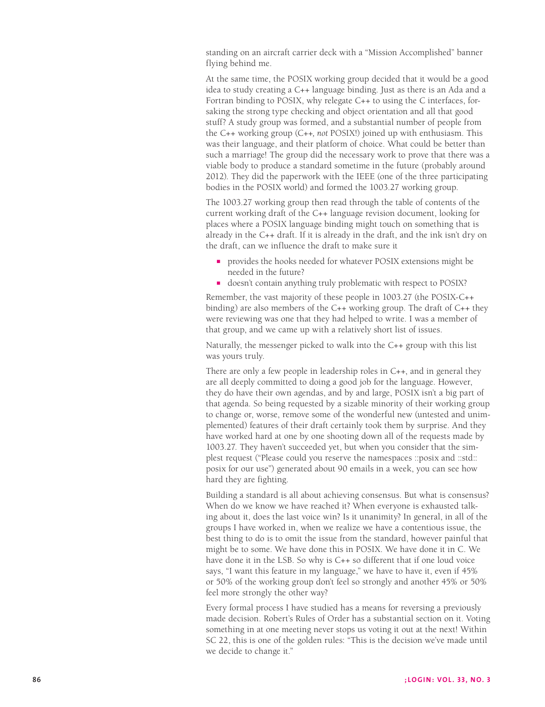standing on an aircraft carrier deck with a "Mission Accomplished" banner flying behind me.

At the same time, the POSIX working group decided that it would be a good idea to study creating a C++ language binding. Just as there is an Ada and a Fortran binding to POSIX, why relegate C++ to using the C interfaces, forsaking the strong type checking and object orientation and all that good stuff? A study group was formed, and a substantial number of people from the C++ working group (C++*, not* POSIX!) joined up with enthusiasm. This was their language, and their platform of choice. What could be better than such a marriage! The group did the necessary work to prove that there was a viable body to produce a standard sometime in the future (probably around 2012). They did the paperwork with the IEEE (one of the three participating bodies in the POSIX world) and formed the 1003.27 working group.

The 1003.27 working group then read through the table of contents of the current working draft of the C++ language revision document, looking for places where a POSIX language binding might touch on something that is already in the C++ draft. If it is already in the draft, and the ink isn't dry on the draft, can we influence the draft to make sure it

- n provides the hooks needed for whatever POSIX extensions might be needed in the future?
- doesn't contain anything truly problematic with respect to POSIX?

Remember, the vast majority of these people in 1003.27 (the POSIX-C++ binding) are also members of the C++ working group. The draft of C++ they were reviewing was one that they had helped to write. I was a member of that group, and we came up with a relatively short list of issues.

Naturally, the messenger picked to walk into the C++ group with this list was yours truly.

There are only a few people in leadership roles in C++, and in general they are all deeply committed to doing a good job for the language. However, they do have their own agendas, and by and large, POSIX isn't a big part of that agenda. So being requested by a sizable minority of their working group to change or, worse, remove some of the wonderful new (untested and unim plemented) features of their draft certainly took them by surprise. And they have worked hard at one by one shooting down all of the requests made by 1003.27. They haven't succeeded yet, but when you consider that the sim plest request ("Please could you reserve the namespaces ::posix and ::std:: posix for our use") generated about 90 emails in a week, you can see how hard they are fighting.

Building a standard is all about achieving consensus. But what is consensus? When do we know we have reached it? When everyone is exhausted talking about it, does the last voice win? Is it unanimity? In general, in all of the groups I have worked in, when we realize we have a contentious issue, the best thing to do is to omit the issue from the standard, however painful that might be to some. We have done this in POSIX. We have done it in C. We have done it in the LSB. So why is C++ so different that if one loud voice says, "I want this feature in my language," we have to have it, even if 45% or 50% of the working group don't feel so strongly and another 45% or 50% feel more strongly the other way?

Every formal process I have studied has a means for reversing a previously made decision. Robert's Rules of Order has a substantial section on it. Voting something in at one meeting never stops us voting it out at the next! Within SC 22, this is one of the golden rules: "This is the decision we've made until we decide to change it."